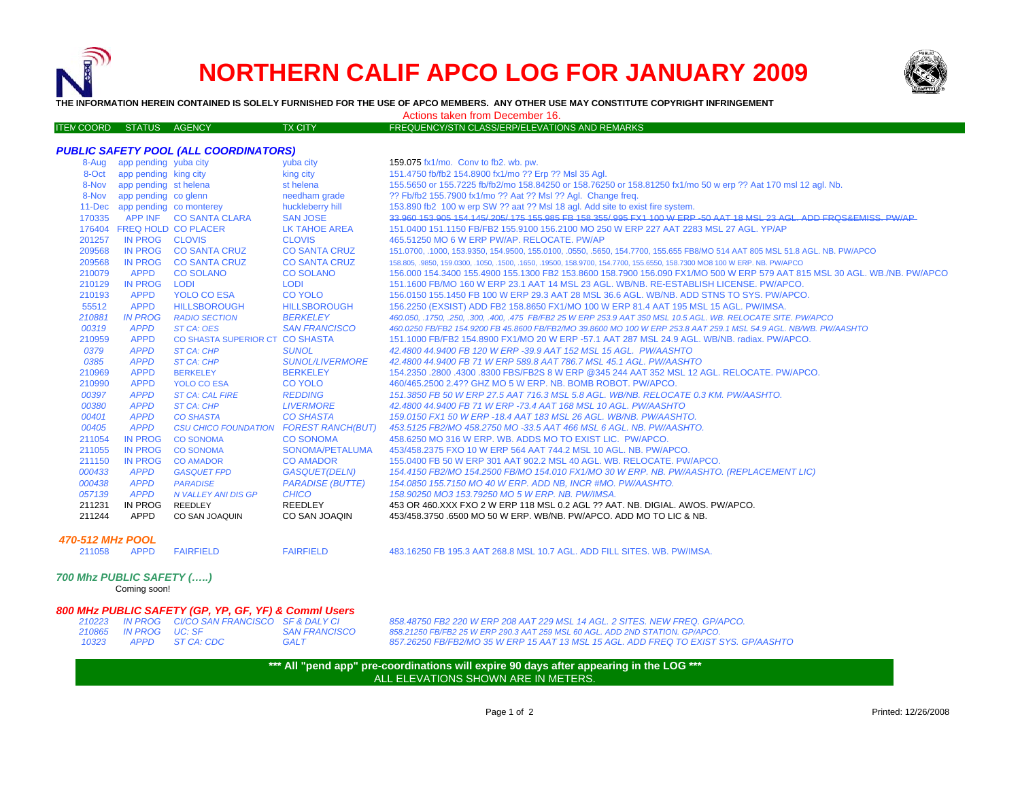



**THE INFORMATION HEREIN CONTAINED IS SOLELY FURNISHED FOR THE USE OF APCO MEMBERS. ANY OTHER USE MAY CONSTITUTE COPYRIGHT INFRINGEMENT**

Actions taken from December 16.

| FREQUENCY/STN CLASS/ERP/ELEVATIONS AND REMARKS<br><b>ITEN COORD STATUS AGENCY</b><br>TX CITY |  |
|----------------------------------------------------------------------------------------------|--|
|----------------------------------------------------------------------------------------------|--|

|        |                                | <b>PUBLIC SAFETY POOL (ALL COORDINATORS)</b> |                         |                                                                                                                             |
|--------|--------------------------------|----------------------------------------------|-------------------------|-----------------------------------------------------------------------------------------------------------------------------|
|        | 8-Aug app pending yuba city    |                                              | yuba city               | 159.075 fx1/mo. Conv to fb2. wb. pw.                                                                                        |
| 8-Oct  | app pending king city          |                                              | king city               | 151.4750 fb/fb2 154.8900 fx1/mo ?? Erp ?? Msl 35 Agl.                                                                       |
| 8-Nov  | app pending st helena          |                                              | st helena               | 155.5650 or 155.7225 fb/fb2/mo 158.84250 or 158.76250 or 158.81250 fx1/mo 50 w erp ?? Aat 170 msl 12 agl. Nb.               |
| 8-Nov  | app pending co glenn           |                                              | needham grade           | ?? Fb/fb2 155.7900 fx1/mo ?? Aat ?? Msl ?? Agl. Change freq.                                                                |
|        | 11-Dec app pending co monterey |                                              | huckleberry hill        | 153.890 fb2 100 w erp SW ?? aat ?? MsI 18 agl. Add site to exist fire system.                                               |
|        |                                | 170335 APP INF CO SANTA CLARA                | <b>SAN JOSE</b>         | 33.960 153.905 154.145/.205/.175 155.985 FB 158.355/.995 FX1 100 W ERP -50 AAT 18 MSL 23 AGL. ADD FROS&EMISS, PW/AP         |
|        | 176404 FREQ HOLD CO PLACER     |                                              | LK TAHOE AREA           | 151,0400 151,1150 FB/FB2 155,9100 156,2100 MO 250 W ERP 227 AAT 2283 MSL 27 AGL, YP/AP                                      |
| 201257 | IN PROG CLOVIS                 |                                              | <b>CLOVIS</b>           | 465.51250 MO 6 W ERP PW/AP, RELOCATE, PW/AP                                                                                 |
| 209568 |                                | IN PROG CO SANTA CRUZ                        | <b>CO SANTA CRUZ</b>    | 151.0700, .1000, 153.9350, 154.9500, 155.0100, .0550, .5650, 154.7700, 155.655 FB8/MO 514 AAT 805 MSL 51.8 AGL. NB. PW/APCO |
| 209568 | IN PROG                        | <b>CO SANTA CRUZ</b>                         | <b>CO SANTA CRUZ</b>    | 158.805, 9850, 159.0300, 1050, 1500, 1650, 19500, 158.9700, 154.7700, 155.6550, 158.7300 MO8 100 W ERP. NB. PW/APCO         |
| 210079 | <b>APPD</b>                    | <b>CO SOLANO</b>                             | <b>CO SOLANO</b>        | 156.000 154.3400 155.4900 155.1300 FB2 153.8600 158.7900 156.090 FX1/MO 500 W ERP 579 AAT 815 MSL 30 AGL. WB./NB. PW/APCO   |
| 210129 | IN PROG                        | <b>LODI</b>                                  | <b>LODI</b>             | 151.1600 FB/MO 160 W ERP 23.1 AAT 14 MSL 23 AGL, WB/NB, RE-ESTABLISH LICENSE, PW/APCO,                                      |
| 210193 | <b>APPD</b>                    | YOLO CO ESA                                  | <b>CO YOLO</b>          | 156,0150 155,1450 FB 100 W ERP 29.3 AAT 28 MSL 36.6 AGL, WB/NB, ADD STNS TO SYS, PW/APCO,                                   |
| 55512  | <b>APPD</b>                    | <b>HILLSBOROUGH</b>                          | <b>HILLSBOROUGH</b>     | 156.2250 (EXSIST) ADD FB2 158.8650 FX1/MO 100 W ERP 81.4 AAT 195 MSL 15 AGL. PW/IMSA.                                       |
| 210881 | <b>IN PROG</b>                 | <b>RADIO SECTION</b>                         | <b>BERKELEY</b>         | 460.050, .1750, .250, .300, .400, .475 FB/FB2 25 W ERP 253.9 AAT 350 MSL 10.5 AGL, WB, RELOCATE SITE, PW/APCO               |
| 00319  | <b>APPD</b>                    | ST CA: OES                                   | <b>SAN FRANCISCO</b>    | 460.0250 FB/FB2 154.9200 FB 45.8600 FB/FB2/MO 39.8600 MO 100 W ERP 253.8 AAT 259.1 MSL 54.9 AGL. NB/WB. PW/AASHTO           |
| 210959 | <b>APPD</b>                    | CO SHASTA SUPERIOR CT CO SHASTA              |                         | 151.1000 FB/FB2 154.8900 FX1/MO 20 W ERP -57.1 AAT 287 MSL 24.9 AGL. WB/NB. radiax. PW/APCO.                                |
| 0379   | <b>APPD</b>                    | ST CA: CHP                                   | <b>SUNOL</b>            | 42.4800 44.9400 FB 120 W ERP -39.9 AAT 152 MSL 15 AGL. PW/AASHTO                                                            |
| 0385   | <b>APPD</b>                    | ST CA: CHP                                   | <b>SUNOL/LIVERMORE</b>  | 42.4800 44.9400 FB 71 W ERP 589.8 AAT 786.7 MSL 45.1 AGL, PW/AASHTO                                                         |
| 210969 | <b>APPD</b>                    | <b>BERKELEY</b>                              | <b>BERKELEY</b>         | 154.2350 .2800 .4300 .8300 FBS/FB2S 8 W ERP @345 244 AAT 352 MSL 12 AGL. RELOCATE, PW/APCO,                                 |
| 210990 | <b>APPD</b>                    | <b>YOLO CO ESA</b>                           | <b>CO YOLO</b>          | 460/465.2500 2.4?? GHZ MO 5 W ERP. NB. BOMB ROBOT. PW/APCO.                                                                 |
| 00397  | <b>APPD</b>                    | <b>ST CA: CAL FIRE</b>                       | <b>REDDING</b>          | 151.3850 FB 50 W ERP 27.5 AAT 716.3 MSL 5.8 AGL, WB/NB, RELOCATE 0.3 KM, PW/AASHTO,                                         |
| 00380  | <b>APPD</b>                    | <b>ST CA: CHP</b>                            | <b>LIVERMORE</b>        | 42.4800 44.9400 FB 71 W ERP -73.4 AAT 168 MSL 10 AGL, PW/AASHTO                                                             |
| 00401  | <b>APPD</b>                    | <b>CO SHASTA</b>                             | <b>CO SHASTA</b>        | 159.0150 FX1 50 W ERP -18.4 AAT 183 MSL 26 AGL. WB/NB. PW/AASHTO.                                                           |
| 00405  | <b>APPD</b>                    | CSU CHICO FOUNDATION FOREST RANCH(BUT)       |                         | 453.5125 FB2/MO 458.2750 MO -33.5 AAT 466 MSL 6 AGL, NB, PW/AASHTO,                                                         |
| 211054 | <b>IN PROG</b>                 | <b>CO SONOMA</b>                             | <b>CO SONOMA</b>        | 458,6250 MO 316 W ERP. WB. ADDS MO TO EXIST LIC. PW/APCO.                                                                   |
| 211055 | <b>IN PROG</b>                 | <b>CO SONOMA</b>                             | SONOMA/PETALUMA         | 453/458.2375 FXO 10 W ERP 564 AAT 744.2 MSL 10 AGL, NB, PW/APCO,                                                            |
| 211150 | <b>IN PROG</b>                 | <b>CO AMADOR</b>                             | <b>CO AMADOR</b>        | 155,0400 FB 50 W ERP 301 AAT 902.2 MSL 40 AGL, WB, RELOCATE, PW/APCO,                                                       |
| 000433 | <b>APPD</b>                    | <b>GASQUET FPD</b>                           | GASQUET(DELN)           | 154.4150 FB2/MO 154.2500 FB/MO 154.010 FX1/MO 30 W ERP. NB. PW/AASHTO. (REPLACEMENT LIC)                                    |
| 000438 | <b>APPD</b>                    | <b>PARADISE</b>                              | <b>PARADISE (BUTTE)</b> | 154.0850 155.7150 MO 40 W ERP. ADD NB. INCR #MO. PW/AASHTO.                                                                 |
| 057139 | <b>APPD</b>                    | N VALLEY ANI DIS GP                          | <b>CHICO</b>            | 158.90250 MO3 153.79250 MO 5 W ERP. NB. PW/IMSA.                                                                            |
| 211231 | IN PROG                        | REEDLEY                                      | REEDLEY                 | 453 OR 460.XXX FXO 2 W ERP 118 MSL 0.2 AGL ?? AAT. NB. DIGIAL. AWOS. PW/APCO.                                               |
| 211244 | APPD                           | CO SAN JOAQUIN                               | CO SAN JOAQIN           | 453/458.3750 6500 MO 50 W ERP. WB/NB. PW/APCO. ADD MO TO LIC & NB.                                                          |
|        |                                |                                              |                         |                                                                                                                             |

## *470-512 MHz POOL*

211058 APPD FAIRFIELD

211058 APPD FAIRFIELD FAIRFIELD 483.16250 FB 195.3 AAT 268.8 MSL 10.7 AGL. ADD FILL SITES. WB. PW/IMSA.

## *700 Mhz PUBLIC SAFETY (…..)*

Coming soon!

## *800 MHz PUBLIC SAFETY (GP, YP, GF, YF) & Comml Users*

|       |                       | 210223 IN PROG CI/CO SAN FRANCISCO SF & DALY CI |                      |
|-------|-----------------------|-------------------------------------------------|----------------------|
|       | 210865 IN PROG UC: SF |                                                 | <b>SAN FRANCISCO</b> |
| 10323 |                       | APPD ST CA: CDC                                 | <b>GALT</b>          |

*210223 IN PROG CI/CO SAN FRANCISCO SF & DALY CI 858.48750 FB2 220 W ERP 208 AAT 229 MSL 14 AGL. 2 SITES. NEW FREQ. GP/APCO. 858.21250 FB/FB2 25 W ERP 290.3 AAT 259 MSL 60 AGL. ADD 2ND STATION. GP/APCO. 857.26250 FB/FB2/MO 35 W ERP 15 AAT 13 MSL 15 AGL. ADD FREQ TO EXIST SYS. GP/AASHTO*

**\*\*\* All "pend app" pre-coordinations will expire 90 days after appearing in the LOG \*\*\*** ALL ELEVATIONS SHOWN ARE IN METERS.